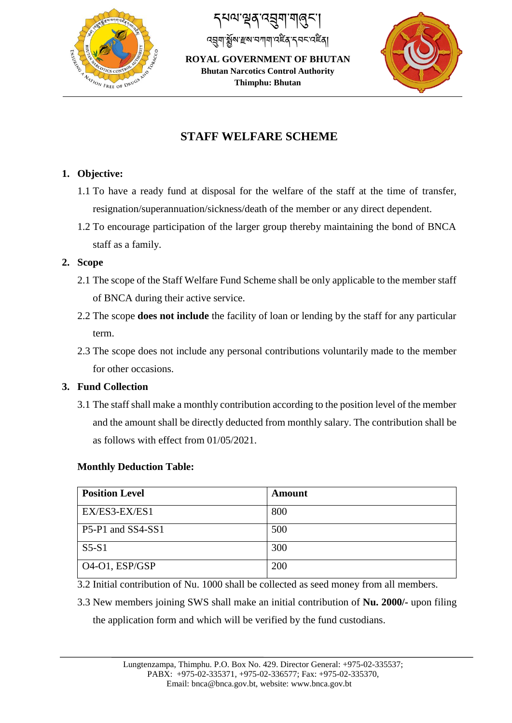

८४० ऱ्यूब द्रुषा गावुरू ঽয়ৣমৢৗৠৢৣ৾য়৾ৼয়৸৸৸৸৻ৼৢৼ৸ৼ৻ৼ৻ৼ

**ROYAL GOVERNMENT OF BHUTAN Bhutan Narcotics Control Authority Thimphu: Bhutan**



# **STAFF WELFARE SCHEME**

## **1. Objective:**

- 1.1 To have a ready fund at disposal for the welfare of the staff at the time of transfer, resignation/superannuation/sickness/death of the member or any direct dependent.
- 1.2 To encourage participation of the larger group thereby maintaining the bond of BNCA staff as a family.

#### **2. Scope**

- 2.1 The scope of the Staff Welfare Fund Scheme shall be only applicable to the member staff of BNCA during their active service.
- 2.2 The scope **does not include** the facility of loan or lending by the staff for any particular term.
- 2.3 The scope does not include any personal contributions voluntarily made to the member for other occasions.

#### **3. Fund Collection**

3.1 The staff shall make a monthly contribution according to the position level of the member and the amount shall be directly deducted from monthly salary. The contribution shall be as follows with effect from 01/05/2021.

#### **Monthly Deduction Table:**

| <b>Position Level</b>                    | Amount |
|------------------------------------------|--------|
| EX/ES3-EX/ES1                            | 800    |
| P5-P1 and SS4-SS1                        | 500    |
| $S5-S1$                                  | 300    |
| O <sub>4</sub> -O <sub>1</sub> , ESP/GSP | 200    |

3.2 Initial contribution of Nu. 1000 shall be collected as seed money from all members.

3.3 New members joining SWS shall make an initial contribution of **Nu. 2000/-** upon filing the application form and which will be verified by the fund custodians.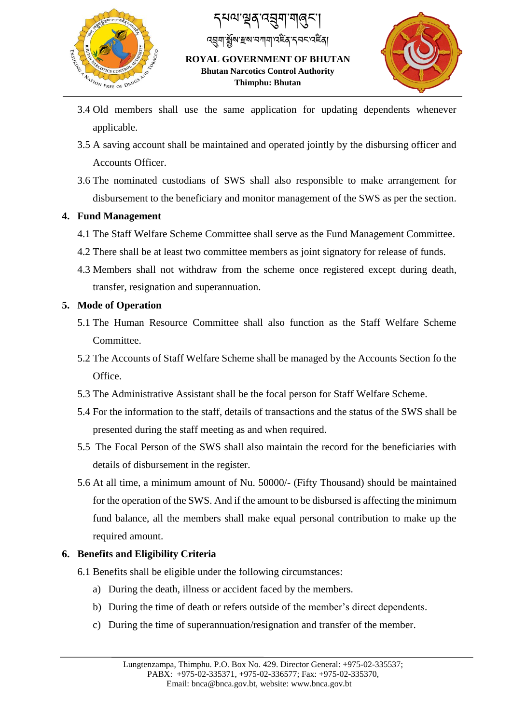

८४० ऱ्यूब द्रुषा गावुरू বব্ৰশ`ষ্ক্ৰীৰ দ্ৰুৱা নামানাৰ দুৰ্বীৰ স্বিত্যি **ROYAL GOVERNMENT OF BHUTAN**

**Bhutan Narcotics Control Authority Thimphu: Bhutan**



- 3.4 Old members shall use the same application for updating dependents whenever applicable.
- 3.5 A saving account shall be maintained and operated jointly by the disbursing officer and Accounts Officer.
- 3.6 The nominated custodians of SWS shall also responsible to make arrangement for disbursement to the beneficiary and monitor management of the SWS as per the section.

#### **4. Fund Management**

- 4.1 The Staff Welfare Scheme Committee shall serve as the Fund Management Committee.
- 4.2 There shall be at least two committee members as joint signatory for release of funds.
- 4.3 Members shall not withdraw from the scheme once registered except during death, transfer, resignation and superannuation.

## **5. Mode of Operation**

- 5.1 The Human Resource Committee shall also function as the Staff Welfare Scheme Committee.
- 5.2 The Accounts of Staff Welfare Scheme shall be managed by the Accounts Section fo the Office.
- 5.3 The Administrative Assistant shall be the focal person for Staff Welfare Scheme.
- 5.4 For the information to the staff, details of transactions and the status of the SWS shall be presented during the staff meeting as and when required.
- 5.5 The Focal Person of the SWS shall also maintain the record for the beneficiaries with details of disbursement in the register.
- 5.6 At all time, a minimum amount of Nu. 50000/- (Fifty Thousand) should be maintained for the operation of the SWS. And if the amount to be disbursed is affecting the minimum fund balance, all the members shall make equal personal contribution to make up the required amount.

# **6. Benefits and Eligibility Criteria**

- 6.1 Benefits shall be eligible under the following circumstances:
	- a) During the death, illness or accident faced by the members.
	- b) During the time of death or refers outside of the member's direct dependents.
	- c) During the time of superannuation/resignation and transfer of the member.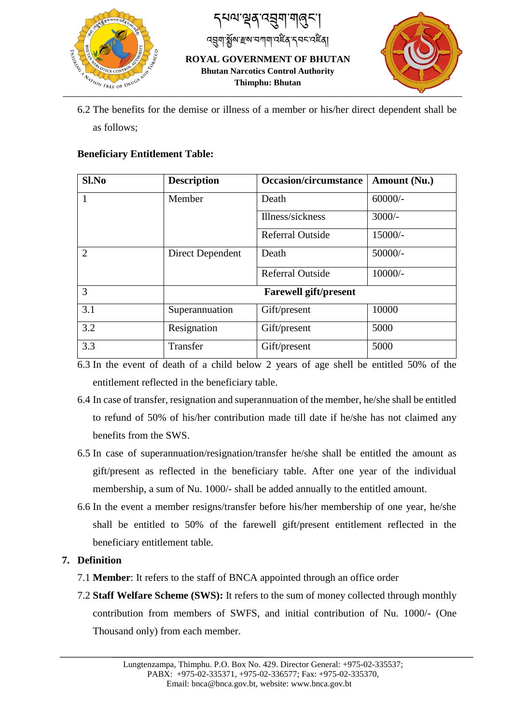

८४० ऱ्यूब द्रुषा गावुरू ས་རྲས་བཀག་འརྲོན་དབང་འརྲིན།

**ROYAL GOVERNMENT OF BHUTAN Bhutan Narcotics Control Authority Thimphu: Bhutan**



6.2 The benefits for the demise or illness of a member or his/her direct dependent shall be as follows;

#### **Beneficiary Entitlement Table:**

| Sl.No          | <b>Description</b>           | <b>Occasion/circumstance</b> | Amount (Nu.) |
|----------------|------------------------------|------------------------------|--------------|
| $\overline{1}$ | Member                       | Death                        | $60000/-$    |
|                |                              | Illness/sickness             | $3000/-$     |
|                |                              | <b>Referral Outside</b>      | 15000/-      |
| $\overline{2}$ | Direct Dependent             | Death                        | 50000/-      |
|                |                              | <b>Referral Outside</b>      | $10000/-$    |
| 3              | <b>Farewell gift/present</b> |                              |              |
| 3.1            | Superannuation               | Gift/present                 | 10000        |
| 3.2            | Resignation                  | Gift/present                 | 5000         |
| 3.3            | Transfer                     | Gift/present                 | 5000         |

6.3 In the event of death of a child below 2 years of age shell be entitled 50% of the entitlement reflected in the beneficiary table.

- 6.4 In case of transfer, resignation and superannuation of the member, he/she shall be entitled to refund of 50% of his/her contribution made till date if he/she has not claimed any benefits from the SWS.
- 6.5 In case of superannuation/resignation/transfer he/she shall be entitled the amount as gift/present as reflected in the beneficiary table. After one year of the individual membership, a sum of Nu. 1000/- shall be added annually to the entitled amount.
- 6.6 In the event a member resigns/transfer before his/her membership of one year, he/she shall be entitled to 50% of the farewell gift/present entitlement reflected in the beneficiary entitlement table.

#### **7. Definition**

- 7.1 **Member**: It refers to the staff of BNCA appointed through an office order
- 7.2 **Staff Welfare Scheme (SWS):** It refers to the sum of money collected through monthly contribution from members of SWFS, and initial contribution of Nu. 1000/- (One Thousand only) from each member.